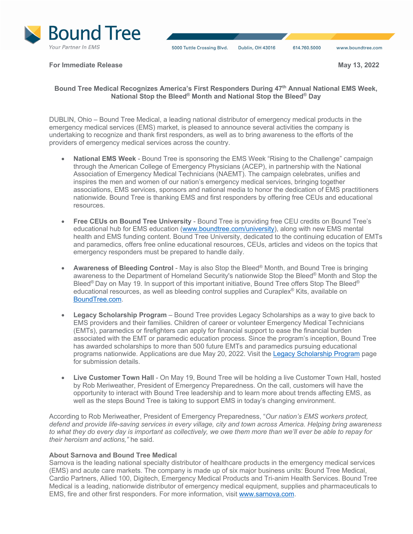

**For Immediate Release May 13, 2022** 

## **Bound Tree Medical Recognizes America's First Responders During 47th Annual National EMS Week, National Stop the Bleed® Month and National Stop the Bleed® Day**

DUBLIN, Ohio – Bound Tree Medical, a leading national distributor of emergency medical products in the emergency medical services (EMS) market, is pleased to announce several activities the company is undertaking to recognize and thank first responders, as well as to bring awareness to the efforts of the providers of emergency medical services across the country.

- **National EMS Week**  Bound Tree is sponsoring the EMS Week "Rising to the Challenge" campaign through the American College of Emergency Physicians (ACEP), in partnership with the National Association of Emergency Medical Technicians (NAEMT). The campaign celebrates, unifies and inspires the men and women of our nation's emergency medical services, bringing together associations, EMS services, sponsors and national media to honor the dedication of EMS practitioners nationwide. Bound Tree is thanking EMS and first responders by offering free CEUs and educational resources.
- **Free CEUs on Bound Tree University** Bound Tree is providing free CEU credits on Bound Tree's educational hub for EMS education (www.boundtree.com/university), along with new EMS mental health and EMS funding content. Bound Tree University, dedicated to the continuing education of EMTs and paramedics, offers free online educational resources, CEUs, articles and videos on the topics that emergency responders must be prepared to handle daily.
- **Awareness of Bleeding Control** May is also Stop the Bleed® Month, and Bound Tree is bringing awareness to the Department of Homeland Security's nationwide Stop the Bleed® Month and Stop the Bleed<sup>®</sup> Day on May 19. In support of this important initiative, Bound Tree offers Stop The Bleed<sup>®</sup> educational resources, as well as bleeding control supplies and Curaplex® Kits, available on BoundTree.com.
- **Legacy Scholarship Program** Bound Tree provides Legacy Scholarships as a way to give back to EMS providers and their families. Children of career or volunteer Emergency Medical Technicians (EMTs), paramedics or firefighters can apply for financial support to ease the financial burden associated with the EMT or paramedic education process. Since the program's inception, Bound Tree has awarded scholarships to more than 500 future EMTs and paramedics pursuing educational programs nationwide. Applications are due May 20, 2022. Visit the Legacy Scholarship Program page for submission details.
- **Live Customer Town Hall** On May 19, Bound Tree will be holding a live Customer Town Hall, hosted by Rob Meriweather, President of Emergency Preparedness. On the call, customers will have the opportunity to interact with Bound Tree leadership and to learn more about trends affecting EMS, as well as the steps Bound Tree is taking to support EMS in today's changing environment.

According to Rob Meriweather, President of Emergency Preparedness, "*Our nation's EMS workers protect, defend and provide life-saving services in every village, city and town across America. Helping bring awareness to what they do every day is important as collectively, we owe them more than we'll ever be able to repay for their heroism and actions,"* he said.

## **About Sarnova and Bound Tree Medical**

Sarnova is the leading national specialty distributor of healthcare products in the emergency medical services (EMS) and acute care markets. The company is made up of six major business units: Bound Tree Medical, Cardio Partners, Allied 100, Digitech, Emergency Medical Products and Tri-anim Health Services. Bound Tree Medical is a leading, nationwide distributor of emergency medical equipment, supplies and pharmaceuticals to EMS, fire and other first responders. For more information, visit www.sarnova.com.